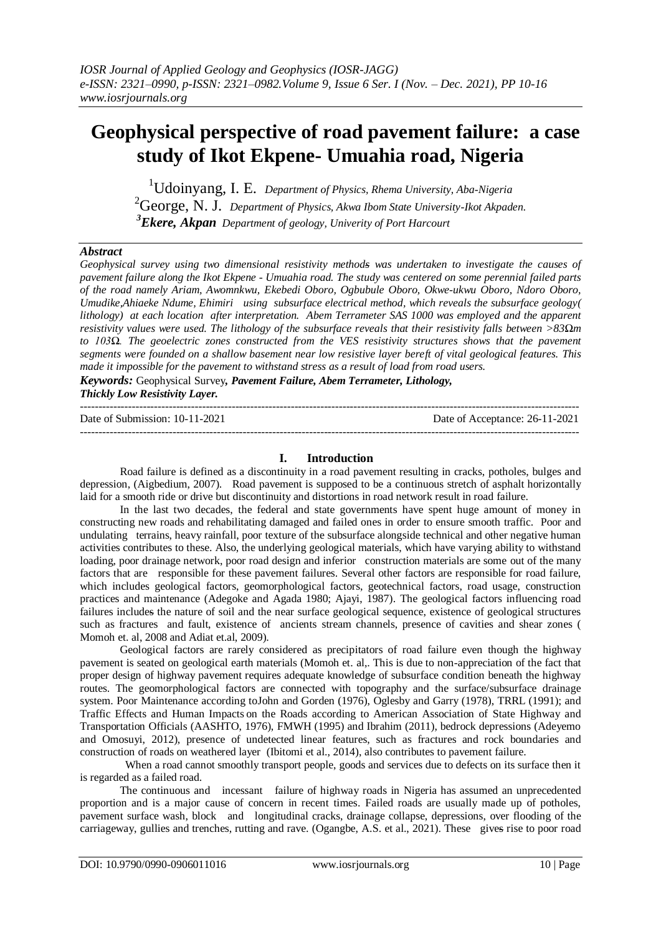# **Geophysical perspective of road pavement failure: a case study of Ikot Ekpene- Umuahia road, Nigeria**

<sup>1</sup>Udoinyang, I. E. *Department of Physics, Rhema University, Aba-Nigeria* <sup>2</sup>George, N. J. *Department of Physics, Akwa Ibom State University-Ikot Akpaden. <sup>3</sup>Ekere, Akpan Department of geology, Univerity of Port Harcourt*

#### *Abstract*

*Geophysical survey using two dimensional resistivity methods was undertaken to investigate the causes of pavement failure along the Ikot Ekpene - Umuahia road. The study was centered on some perennial failed parts of the road namely Ariam, Awomnkwu, Ekebedi Oboro, Ogbubule Oboro, Okwe-ukwu Oboro, Ndoro Oboro, Umudike,Ahiaeke Ndume, Ehimiri using subsurface electrical method, which reveals the subsurface geology( lithology) at each location after interpretation. Abem Terrameter SAS 1000 was employed and the apparent resistivity values were used. The lithology of the subsurface reveals that their resistivity falls between >83Ωm to 103Ω. The geoelectric zones constructed from the VES resistivity structures shows that the pavement segments were founded on a shallow basement near low resistive layer bereft of vital geological features. This made it impossible for the pavement to withstand stress as a result of load from road users.*

*Keywords:* Geophysical Survey*, Pavement Failure, Abem Terrameter, Lithology, Thickly Low Resistivity Layer.* ---------------------------------------------------------------------------------------------------------------------------------------

Date of Submission: 10-11-2021

---------------------------------------------------------------------------------------------------------------------------------------

| Date of Acceptance: 26-11-2021 |  |
|--------------------------------|--|
|                                |  |

### **I. Introduction**

Road failure is defined as a discontinuity in a road pavement resulting in cracks, potholes, bulges and depression, (Aigbedium, 2007). Road pavement is supposed to be a continuous stretch of asphalt horizontally laid for a smooth ride or drive but discontinuity and distortions in road network result in road failure.

In the last two decades, the federal and state governments have spent huge amount of money in constructing new roads and rehabilitating damaged and failed ones in order to ensure smooth traffic. Poor and undulating terrains, heavy rainfall, poor texture of the subsurface alongside technical and other negative human activities contributes to these. Also, the underlying geological materials, which have varying ability to withstand loading, poor drainage network, poor road design and inferior construction materials are some out of the many factors that are responsible for these pavement failures. Several other factors are responsible for road failure, which includes geological factors, geomorphological factors, geotechnical factors, road usage, construction practices and maintenance (Adegoke and Agada 1980; Ajayi, 1987). The geological factors influencing road failures includes the nature of soil and the near surface geological sequence, existence of geological structures such as fractures and fault, existence of ancients stream channels, presence of cavities and shear zones ( Momoh et. al, 2008 and Adiat et.al, 2009).

Geological factors are rarely considered as precipitators of road failure even though the highway pavement is seated on geological earth materials (Momoh et. al,. This is due to non-appreciation of the fact that proper design of highway pavement requires adequate knowledge of subsurface condition beneath the highway routes. The geomorphological factors are connected with topography and the surface/subsurface drainage system. Poor Maintenance according toJohn and Gorden (1976), Oglesby and Garry (1978), TRRL (1991); and Traffic Effects and Human Impacts on the Roads according to American Association of State Highway and Transportation Officials (AASHTO, 1976), FMWH (1995) and Ibrahim (2011), bedrock depressions (Adeyemo and Omosuyi, 2012), presence of undetected linear features, such as fractures and rock boundaries and construction of roads on weathered layer (Ibitomi et al., 2014), also contributes to pavement failure.

 When a road cannot smoothly transport people, goods and services due to defects on its surface then it is regarded as a failed road.

The continuous and incessant failure of highway roads in Nigeria has assumed an unprecedented proportion and is a major cause of concern in recent times. Failed roads are usually made up of potholes, pavement surface wash, block and longitudinal cracks, drainage collapse, depressions, over flooding of the carriageway, gullies and trenches, rutting and rave. (Ogangbe, A.S. et al., 2021). These gives rise to poor road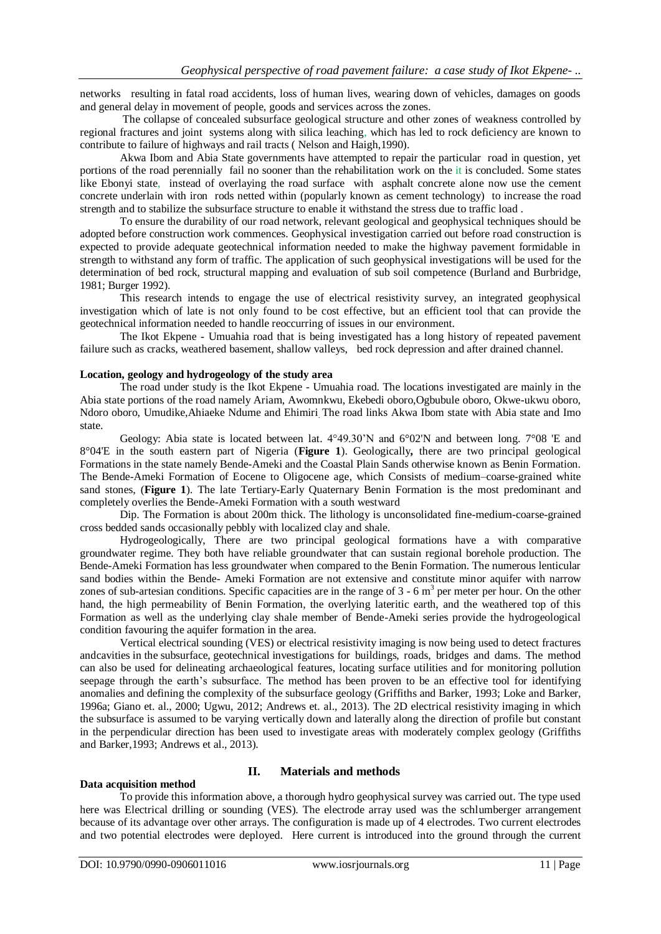networks resulting in fatal road accidents, loss of human lives, wearing down of vehicles, damages on goods and general delay in movement of people, goods and services across the zones.

The collapse of concealed subsurface geological structure and other zones of weakness controlled by regional fractures and joint systems along with silica leaching, which has led to rock deficiency are known to contribute to failure of highways and rail tracts ( Nelson and Haigh,1990).

Akwa Ibom and Abia State governments have attempted to repair the particular road in question, yet portions of the road perennially fail no sooner than the rehabilitation work on the it is concluded. Some states like Ebonyi state, instead of overlaying the road surface with asphalt concrete alone now use the cement concrete underlain with iron rods netted within (popularly known as cement technology) to increase the road strength and to stabilize the subsurface structure to enable it withstand the stress due to traffic load .

To ensure the durability of our road network, relevant geological and geophysical techniques should be adopted before construction work commences. Geophysical investigation carried out before road construction is expected to provide adequate geotechnical information needed to make the highway pavement formidable in strength to withstand any form of traffic. The application of such geophysical investigations will be used for the determination of bed rock, structural mapping and evaluation of sub soil competence (Burland and Burbridge, 1981; Burger 1992).

This research intends to engage the use of electrical resistivity survey, an integrated geophysical investigation which of late is not only found to be cost effective, but an efficient tool that can provide the geotechnical information needed to handle reoccurring of issues in our environment.

The Ikot Ekpene - Umuahia road that is being investigated has a long history of repeated pavement failure such as cracks, weathered basement, shallow valleys, bed rock depression and after drained channel.

#### **Location, geology and hydrogeology of the study area**

The road under study is the Ikot Ekpene - Umuahia road. The locations investigated are mainly in the Abia state portions of the road namely Ariam, Awomnkwu, Ekebedi oboro,Ogbubule oboro, Okwe-ukwu oboro, Ndoro oboro, Umudike,Ahiaeke Ndume and Ehimiri. The road links Akwa Ibom state with Abia state and Imo state.

Geology: Abia state is located between lat. 4°49.30'N and 6°02'N and between long. 7°08 'E and 8°04'E in the south eastern part of Nigeria (**Figure 1**). Geologically**,** there are two principal geological Formations in the state namely Bende-Ameki and the Coastal Plain Sands otherwise known as Benin Formation. The Bende-Ameki Formation of Eocene to Oligocene age, which Consists of medium–coarse-grained white sand stones, (**Figure 1**). The late Tertiary-Early Quaternary Benin Formation is the most predominant and completely overlies the Bende-Ameki Formation with a south westward

Dip. The Formation is about 200m thick. The lithology is unconsolidated fine-medium-coarse-grained cross bedded sands occasionally pebbly with localized clay and shale.

Hydrogeologically, There are two principal geological formations have a with comparative groundwater regime. They both have reliable groundwater that can sustain regional borehole production. The Bende-Ameki Formation has less groundwater when compared to the Benin Formation. The numerous lenticular sand bodies within the Bende- Ameki Formation are not extensive and constitute minor aquifer with narrow zones of sub-artesian conditions. Specific capacities are in the range of  $3 - 6$  m<sup>3</sup> per meter per hour. On the other hand, the high permeability of Benin Formation, the overlying lateritic earth, and the weathered top of this Formation as well as the underlying clay shale member of Bende-Ameki series provide the hydrogeological condition favouring the aquifer formation in the area.

Vertical electrical sounding (VES) or electrical resistivity imaging is now being used to detect fractures andcavities in the subsurface, geotechnical investigations for buildings, roads, bridges and dams. The method can also be used for delineating archaeological features, locating surface utilities and for monitoring pollution seepage through the earth's subsurface. The method has been proven to be an effective tool for identifying anomalies and defining the complexity of the subsurface geology (Griffiths and Barker, 1993; Loke and Barker, 1996a; Giano et. al., 2000; Ugwu, 2012; Andrews et. al., 2013). The 2D electrical resistivity imaging in which the subsurface is assumed to be varying vertically down and laterally along the direction of profile but constant in the perpendicular direction has been used to investigate areas with moderately complex geology (Griffiths and Barker,1993; Andrews et al., 2013).

#### **Data acquisition method**

#### **II. Materials and methods**

To provide this information above, a thorough hydro geophysical survey was carried out. The type used here was Electrical drilling or sounding (VES). The electrode array used was the schlumberger arrangement because of its advantage over other arrays. The configuration is made up of 4 electrodes. Two current electrodes and two potential electrodes were deployed. Here current is introduced into the ground through the current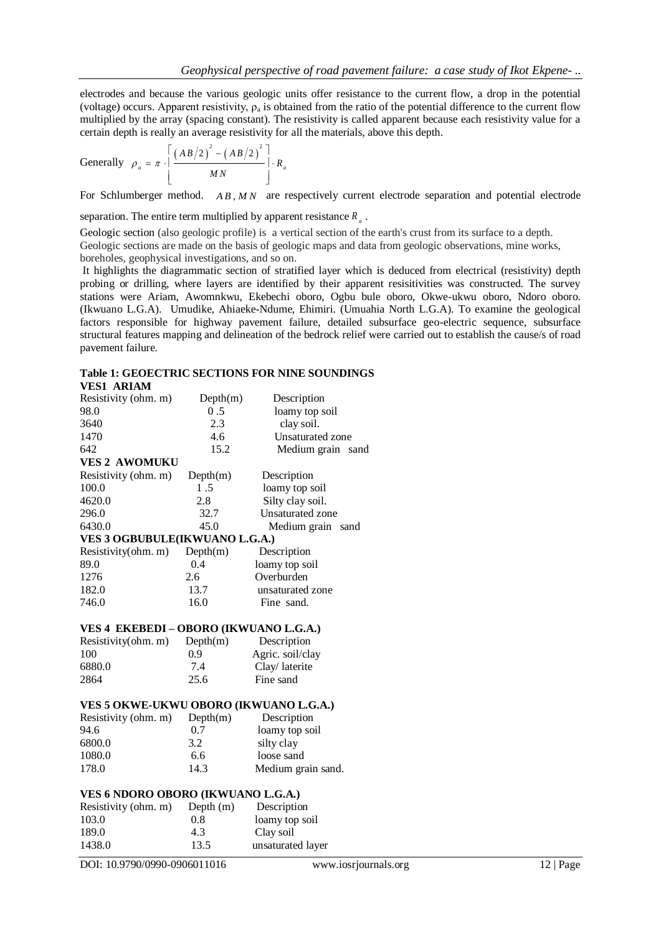electrodes and because the various geologic units offer resistance to the current flow, a drop in the potential (voltage) occurs. Apparent resistivity,  $\rho_a$  is obtained from the ratio of the potential difference to the current flow multiplied by the array (spacing constant). The resistivity is called apparent because each resistivity value for a certain depth is really an average resistivity for all the materials, above this depth.<br>  $\left[ \frac{(AB/2)^2 - (AB/2)^2}{AB(2A-2A-2A)} \right]_{B}$ 

Generally 
$$
\rho_a = \pi \cdot \left[ \frac{(AB/2)^2 - (AB/2)^2}{MN} \right] \cdot R_a
$$

For Schlumberger method. A B, M N are respectively current electrode separation and potential electrode

separation. The entire term multiplied by apparent resistance  $R_a$ .

Geologic section (also geologic profile) is a vertical section of the earth's crust from its surface to a depth. Geologic sections are made on the basis of geologic maps and data from geologic observations, mine works, boreholes, geophysical investigations, and so on.

It highlights the diagrammatic section of stratified layer which is deduced from electrical (resistivity) depth probing or drilling, where layers are identified by their apparent resisitivities was constructed. The survey stations were Ariam, Awomnkwu, Ekebechi oboro, Ogbu bule oboro, Okwe-ukwu oboro, Ndoro oboro. (Ikwuano L.G.A). Umudike, Ahiaeke-Ndume, Ehimiri. (Umuahia North L.G.A). To examine the geological factors responsible for highway pavement failure, detailed subsurface geo-electric sequence, subsurface structural features mapping and delineation of the bedrock relief were carried out to establish the cause/s of road pavement failure.

#### **Table 1: GEOECTRIC SECTIONS FOR NINE SOUNDINGS VES1 ARIAM**

| VEST ARIAM                             |           |                         |  |  |
|----------------------------------------|-----------|-------------------------|--|--|
| Resistivity (ohm. m)                   | Depth(m)  | Description             |  |  |
| 98.0                                   | 0.5       | loamy top soil          |  |  |
| 3640                                   | 2.3       | clay soil.              |  |  |
| 1470                                   | 4.6       | Unsaturated zone        |  |  |
| 642                                    | 15.2      | Medium grain sand       |  |  |
| <b>VES 2 AWOMUKU</b>                   |           |                         |  |  |
| Resistivity (ohm. m)                   | Depth(m)  | Description             |  |  |
| 100.0                                  | 1.5       | loamy top soil          |  |  |
| 4620.0                                 | 2.8       | Silty clay soil.        |  |  |
| 296.0                                  | 32.7      | <b>Unsaturated zone</b> |  |  |
| 6430.0                                 | 45.0      | Medium grain<br>sand    |  |  |
| VES 3 OGBUBULE(IKWUANO L.G.A.)         |           |                         |  |  |
| Resistivity(ohm. m)                    | Depth(m)  | Description             |  |  |
| 89.0                                   | 0.4       | loamy top soil          |  |  |
| 1276                                   | 2.6       | Overburden              |  |  |
| 182.0                                  | 13.7      | unsaturated zone        |  |  |
| 746.0                                  | 16.0      | Fine sand.              |  |  |
| VES 4 EKEBEDI - OBORO (IKWUANO L.G.A.) |           |                         |  |  |
| Resistivity(ohm. m)                    | Depth(m)  | Description             |  |  |
| 100                                    | 0.9       | Agric. soil/clay        |  |  |
| 6880.0                                 | 7.4       | Clay/laterite           |  |  |
| 2864                                   | 25.6      | Fine sand               |  |  |
| VES 5 OKWE-UKWU OBORO (IKWUANO L.G.A.) |           |                         |  |  |
| Resistivity (ohm. m)                   | Depth(m)  | Description             |  |  |
| 94.6                                   | 0.7       | loamy top soil          |  |  |
| 6800.0                                 | 3.2       | silty clay              |  |  |
| 1080.0                                 | 6.6       | loose sand              |  |  |
| 178.0                                  | 14.3      | Medium grain sand.      |  |  |
| VES 6 NDORO OBORO (IKWUANO L.G.A.)     |           |                         |  |  |
| Resistivity (ohm. m)                   | Depth (m) | Description             |  |  |
| 103.0                                  | 0.8       | loamy top soil          |  |  |
| 189.0                                  | 4.3       | Clay soil               |  |  |
| 1438.0                                 | 13.5      | unsaturated layer       |  |  |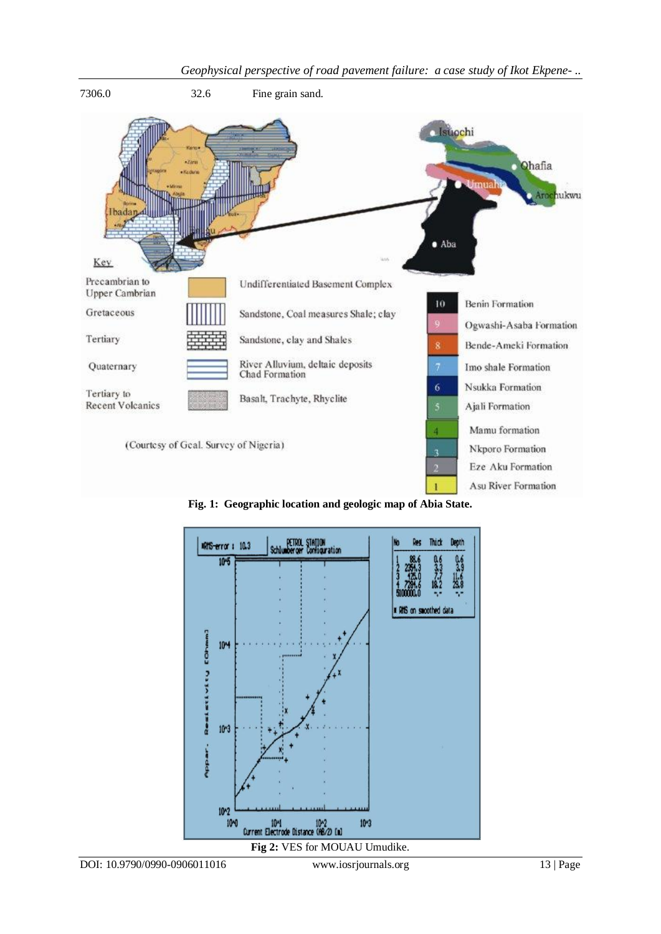

**Fig. 1: Geographic location and geologic map of Abia State.**

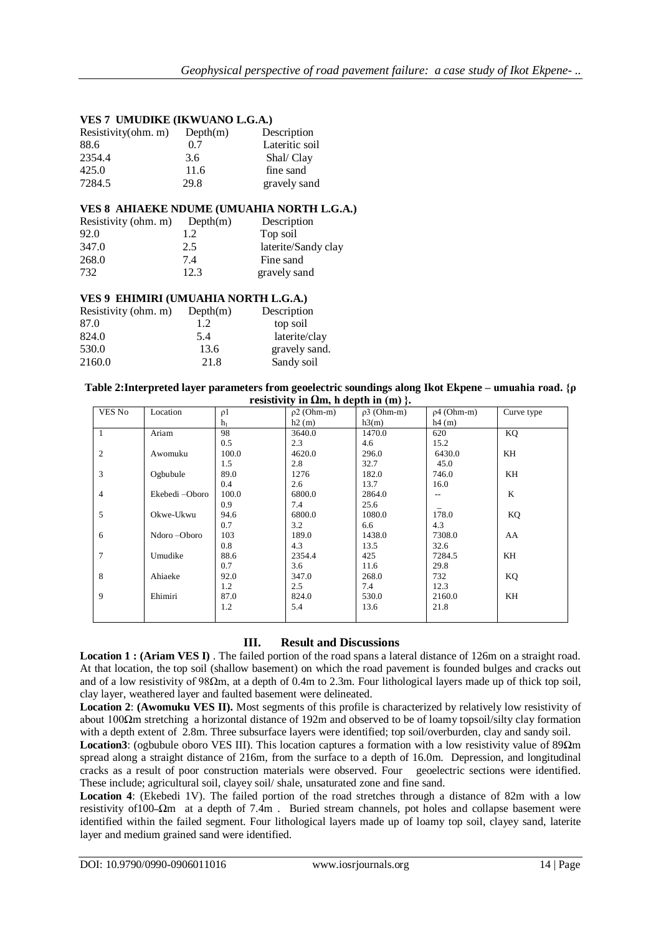## **VES 7 UMUDIKE (IKWUANO L.G.A.)**

| Resistivity(ohm. m) | Depth(m) | Description    |
|---------------------|----------|----------------|
| 88.6                | 0.7      | Lateritic soil |
| 2354.4              | 3.6      | Shal/ Clay     |
| 425.0               | 11.6     | fine sand      |
| 7284.5              | 29.8     | gravely sand   |

#### **VES 8 AHIAEKE NDUME (UMUAHIA NORTH L.G.A.)**

| Resistivity (ohm. m) | Depth(m) | Description         |
|----------------------|----------|---------------------|
| 92.0                 | 1.2      | Top soil            |
| 347.0                | 2.5      | laterite/Sandy clay |
| 268.0                | 7.4      | Fine sand           |
| 732                  | 12.3     | gravely sand        |

#### **VES 9 EHIMIRI (UMUAHIA NORTH L.G.A.)**

| Resistivity (ohm. m) | Depth(m) | Description   |
|----------------------|----------|---------------|
| 87.0                 | 1.2      | top soil      |
| 824.0                | 5.4      | laterite/clay |
| 530.0                | 13.6     | gravely sand. |
| 2160.0               | 21.8     | Sandy soil    |

#### **Table 2:Interpreted layer parameters from geoelectric soundings along Ikot Ekpene – umuahia road. {ρ resistivity in Ωm, h depth in (m) }.**

| VES No         | Location       | $\rho$ 1       | $1.0001110$ m sem, n wept in $(1.0)$<br>$\rho$ 2 (Ohm-m) | $p3$ (Ohm-m) | $p4$ (Ohm-m) | Curve type |
|----------------|----------------|----------------|----------------------------------------------------------|--------------|--------------|------------|
|                |                | h <sub>1</sub> | h2(m)                                                    | h3(m)        | h4(m)        |            |
| 1              | Ariam          | 98             | 3640.0                                                   | 1470.0       | 620          | KQ         |
|                |                | 0.5            | 2.3                                                      | 4.6          | 15.2         |            |
| $\overline{2}$ | Awomuku        | 100.0          | 4620.0                                                   | 296.0        | 6430.0       | KH         |
|                |                | 1.5            | 2.8                                                      | 32.7         | 45.0         |            |
| 3              | Ogbubule       | 89.0           | 1276                                                     | 182.0        | 746.0        | KH         |
|                |                | 0.4            | 2.6                                                      | 13.7         | 16.0         |            |
| 4              | Ekebedi -Oboro | 100.0          | 6800.0                                                   | 2864.0       | $-$          | K          |
|                |                | 0.9            | 7.4                                                      | 25.6         |              |            |
| 5              | Okwe-Ukwu      | 94.6           | 6800.0                                                   | 1080.0       | 178.0        | KQ         |
|                |                | 0.7            | 3.2                                                      | 6.6          | 4.3          |            |
| 6              | Ndoro-Oboro    | 103            | 189.0                                                    | 1438.0       | 7308.0       | AA         |
|                |                | 0.8            | 4.3                                                      | 13.5         | 32.6         |            |
| 7              | Umudike        | 88.6           | 2354.4                                                   | 425          | 7284.5       | KH         |
|                |                | 0.7            | 3.6                                                      | 11.6         | 29.8         |            |
| 8              | Ahiaeke        | 92.0           | 347.0                                                    | 268.0        | 732          | KQ         |
|                |                | 1.2            | 2.5                                                      | 7.4          | 12.3         |            |
| 9              | Ehimiri        | 87.0           | 824.0                                                    | 530.0        | 2160.0       | KH         |
|                |                | 1.2            | 5.4                                                      | 13.6         | 21.8         |            |
|                |                |                |                                                          |              |              |            |

### **III. Result and Discussions**

**Location 1 : (Ariam VES I)** . The failed portion of the road spans a lateral distance of 126m on a straight road. At that location, the top soil (shallow basement) on which the road pavement is founded bulges and cracks out and of a low resistivity of 98Ωm, at a depth of 0.4m to 2.3m. Four lithological layers made up of thick top soil, clay layer, weathered layer and faulted basement were delineated.

**Location 2**: **(Awomuku VES II).** Most segments of this profile is characterized by relatively low resistivity of about 100Ωm stretching a horizontal distance of 192m and observed to be of loamy topsoil/silty clay formation with a depth extent of 2.8m. Three subsurface layers were identified; top soil/overburden, clay and sandy soil.

**Location3**: (ogbubule oboro VES III). This location captures a formation with a low resistivity value of 89Ωm spread along a straight distance of 216m, from the surface to a depth of 16.0m. Depression, and longitudinal cracks as a result of poor construction materials were observed. Four geoelectric sections were identified. These include; agricultural soil, clayey soil/ shale, unsaturated zone and fine sand.

**Location 4**: (Ekebedi 1V). The failed portion of the road stretches through a distance of 82m with a low resistivity of 100- $\Omega$ m at a depth of 7.4m. Buried stream channels, pot holes and collapse basement were identified within the failed segment. Four lithological layers made up of loamy top soil, clayey sand, laterite layer and medium grained sand were identified.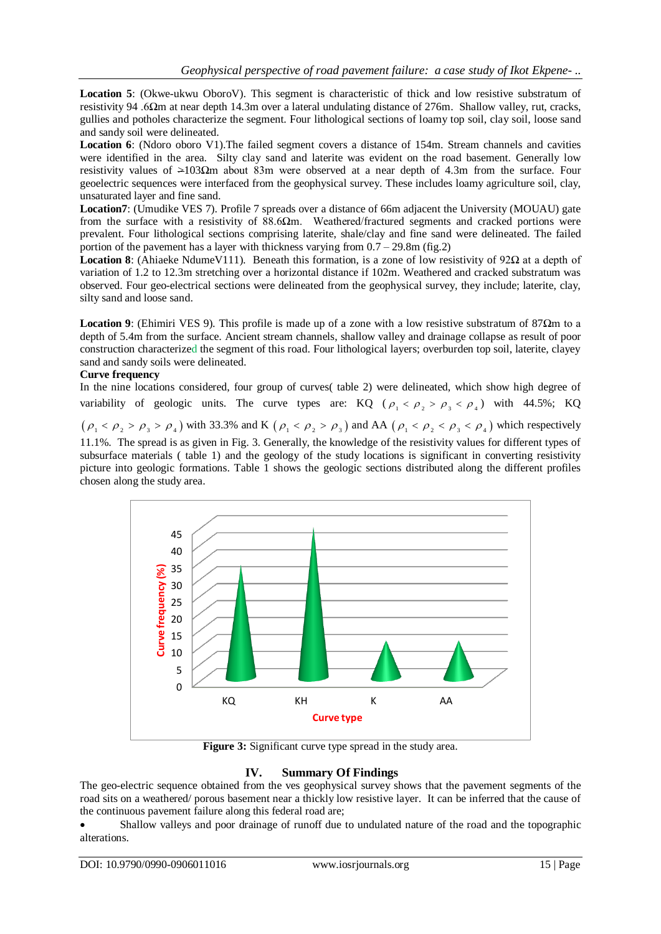**Location 5**: (Okwe-ukwu OboroV). This segment is characteristic of thick and low resistive substratum of resistivity 94 .6Ωm at near depth 14.3m over a lateral undulating distance of 276m. Shallow valley, rut, cracks, gullies and potholes characterize the segment. Four lithological sections of loamy top soil, clay soil, loose sand and sandy soil were delineated.

**Location 6**: (Ndoro oboro V1).The failed segment covers a distance of 154m. Stream channels and cavities were identified in the area. Silty clay sand and laterite was evident on the road basement. Generally low resistivity values of >103Ωm about 83m were observed at a near depth of 4.3m from the surface. Four geoelectric sequences were interfaced from the geophysical survey. These includes loamy agriculture soil, clay, unsaturated layer and fine sand.

**Location7**: (Umudike VES 7). Profile 7 spreads over a distance of 66m adjacent the University (MOUAU) gate from the surface with a resistivity of 88.6Ωm. Weathered/fractured segments and cracked portions were prevalent. Four lithological sections comprising laterite, shale/clay and fine sand were delineated. The failed portion of the pavement has a layer with thickness varying from  $0.7 - 29.8$ m (fig.2)

**Location 8**: (Ahiaeke NdumeV111). Beneath this formation, is a zone of low resistivity of 92Ω at a depth of variation of 1.2 to 12.3m stretching over a horizontal distance if 102m. Weathered and cracked substratum was observed. Four geo-electrical sections were delineated from the geophysical survey, they include; laterite, clay, silty sand and loose sand.

**Location 9**: (Ehimiri VES 9). This profile is made up of a zone with a low resistive substratum of 87Ωm to a depth of 5.4m from the surface. Ancient stream channels, shallow valley and drainage collapse as result of poor construction characterized the segment of this road. Four lithological layers; overburden top soil, laterite, clayey sand and sandy soils were delineated.

#### **Curve frequency**

In the nine locations considered, four group of curves( table 2) were delineated, which show high degree of variability of geologic units. The curve types are: KQ ( $\rho_1 < \rho_2 > \rho_3 < \rho_4$ ) with 44.5%; KQ  $(\rho_1 < \rho_2 > \rho_3 > \rho_4)$  with 33.3% and K  $(\rho_1 < \rho_2 > \rho_3)$  and AA  $(\rho_1 < \rho_2 < \rho_3 < \rho_4)$  which respectively 11.1%. The spread is as given in Fig. 3. Generally, the knowledge of the resistivity values for different types of subsurface materials ( table 1) and the geology of the study locations is significant in converting resistivity picture into geologic formations. Table 1 shows the geologic sections distributed along the different profiles chosen along the study area.



**Figure 3:** Significant curve type spread in the study area.

### **IV. Summary Of Findings**

The geo-electric sequence obtained from the ves geophysical survey shows that the pavement segments of the road sits on a weathered/ porous basement near a thickly low resistive layer. It can be inferred that the cause of the continuous pavement failure along this federal road are;

 Shallow valleys and poor drainage of runoff due to undulated nature of the road and the topographic alterations.